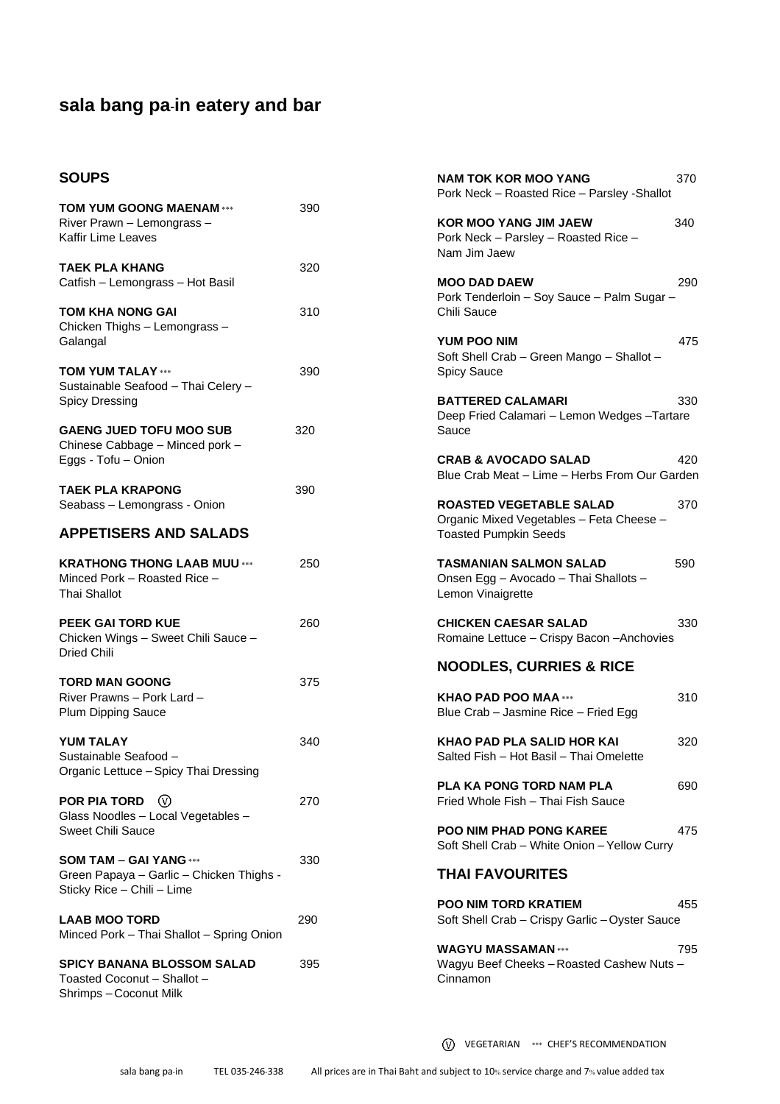#### **SOUPS**

| <b>SOUPS</b>                                                                               |     | <b>NAM TOK KOR MOO YANG</b><br>Pork Neck - Roasted Rice - Parsley - Shallot      | 370 |
|--------------------------------------------------------------------------------------------|-----|----------------------------------------------------------------------------------|-----|
| <b>TOM YUM GOONG MAENAM ***</b>                                                            | 390 |                                                                                  |     |
| River Prawn - Lemongrass -                                                                 |     | <b>KOR MOO YANG JIM JAEW</b>                                                     | 340 |
| Kaffir Lime Leaves                                                                         |     | Pork Neck - Parsley - Roasted Rice -<br>Nam Jim Jaew                             |     |
| <b>TAEK PLA KHANG</b>                                                                      | 320 |                                                                                  |     |
| Catfish - Lemongrass - Hot Basil                                                           |     | <b>MOO DAD DAEW</b><br>Pork Tenderloin - Soy Sauce - Palm Sugar -                | 290 |
| TOM KHA NONG GAI                                                                           | 310 | Chili Sauce                                                                      |     |
| Chicken Thighs - Lemongrass -                                                              |     |                                                                                  |     |
| Galangal                                                                                   |     | YUM POO NIM<br>Soft Shell Crab - Green Mango - Shallot -                         | 475 |
| <b>TOM YUM TALAY ***</b>                                                                   | 390 | <b>Spicy Sauce</b>                                                               |     |
| Sustainable Seafood - Thai Celery -                                                        |     |                                                                                  |     |
| Spicy Dressing                                                                             |     | <b>BATTERED CALAMARI</b><br>Deep Fried Calamari - Lemon Wedges - Tartare         | 330 |
| <b>GAENG JUED TOFU MOO SUB</b>                                                             | 320 | Sauce                                                                            |     |
| Chinese Cabbage - Minced pork -                                                            |     |                                                                                  |     |
| Eggs - Tofu - Onion                                                                        |     | <b>CRAB &amp; AVOCADO SALAD</b><br>Blue Crab Meat - Lime - Herbs From Our Garden | 420 |
| <b>TAEK PLA KRAPONG</b>                                                                    | 390 |                                                                                  |     |
| Seabass - Lemongrass - Onion                                                               |     | <b>ROASTED VEGETABLE SALAD</b>                                                   | 370 |
| <b>APPETISERS AND SALADS</b>                                                               |     | Organic Mixed Vegetables - Feta Cheese -<br><b>Toasted Pumpkin Seeds</b>         |     |
| <b>KRATHONG THONG LAAB MUU ***</b>                                                         | 250 | <b>TASMANIAN SALMON SALAD</b>                                                    | 590 |
| Minced Pork - Roasted Rice -<br>Thai Shallot                                               |     | Onsen Egg - Avocado - Thai Shallots -<br>Lemon Vinaigrette                       |     |
| PEEK GAI TORD KUE                                                                          | 260 | <b>CHICKEN CAESAR SALAD</b>                                                      | 330 |
| Chicken Wings - Sweet Chili Sauce -<br>Dried Chili                                         |     | Romaine Lettuce - Crispy Bacon - Anchovies                                       |     |
| <b>TORD MAN GOONG</b>                                                                      | 375 | <b>NOODLES, CURRIES &amp; RICE</b>                                               |     |
| River Prawns - Pork Lard -                                                                 |     | <b>KHAO PAD POO MAA ***</b>                                                      | 310 |
| Plum Dipping Sauce                                                                         |     | Blue Crab - Jasmine Rice - Fried Egg                                             |     |
| <b>YUM TALAY</b>                                                                           | 340 | <b>KHAO PAD PLA SALID HOR KAI</b>                                                | 320 |
| Sustainable Seafood -                                                                      |     | Salted Fish - Hot Basil - Thai Omelette                                          |     |
| Organic Lettuce - Spicy Thai Dressing                                                      |     | <b>PLA KA PONG TORD NAM PLA</b>                                                  | 690 |
| POR PIA TORD<br>∞                                                                          | 270 | Fried Whole Fish - Thai Fish Sauce                                               |     |
| Glass Noodles - Local Vegetables -                                                         |     |                                                                                  |     |
| <b>Sweet Chili Sauce</b>                                                                   |     | <b>POO NIM PHAD PONG KAREE</b><br>Soft Shell Crab - White Onion - Yellow Curry   | 475 |
| <b>SOM TAM - GAI YANG ***</b>                                                              | 330 |                                                                                  |     |
| Green Papaya - Garlic - Chicken Thighs -<br>Sticky Rice - Chili - Lime                     |     | <b>THAI FAVOURITES</b>                                                           |     |
|                                                                                            |     | <b>POO NIM TORD KRATIEM</b>                                                      | 455 |
| <b>LAAB MOO TORD</b><br>Minced Pork - Thai Shallot - Spring Onion                          | 290 | Soft Shell Crab – Crispy Garlic – Oyster Sauce                                   |     |
|                                                                                            |     | <b>WAGYU MASSAMAN ***</b>                                                        | 795 |
| <b>SPICY BANANA BLOSSOM SALAD</b><br>Toasted Coconut - Shallot -<br>Shrimps - Coconut Milk | 395 | Wagyu Beef Cheeks - Roasted Cashew Nuts -<br>Cinnamon                            |     |
|                                                                                            |     |                                                                                  |     |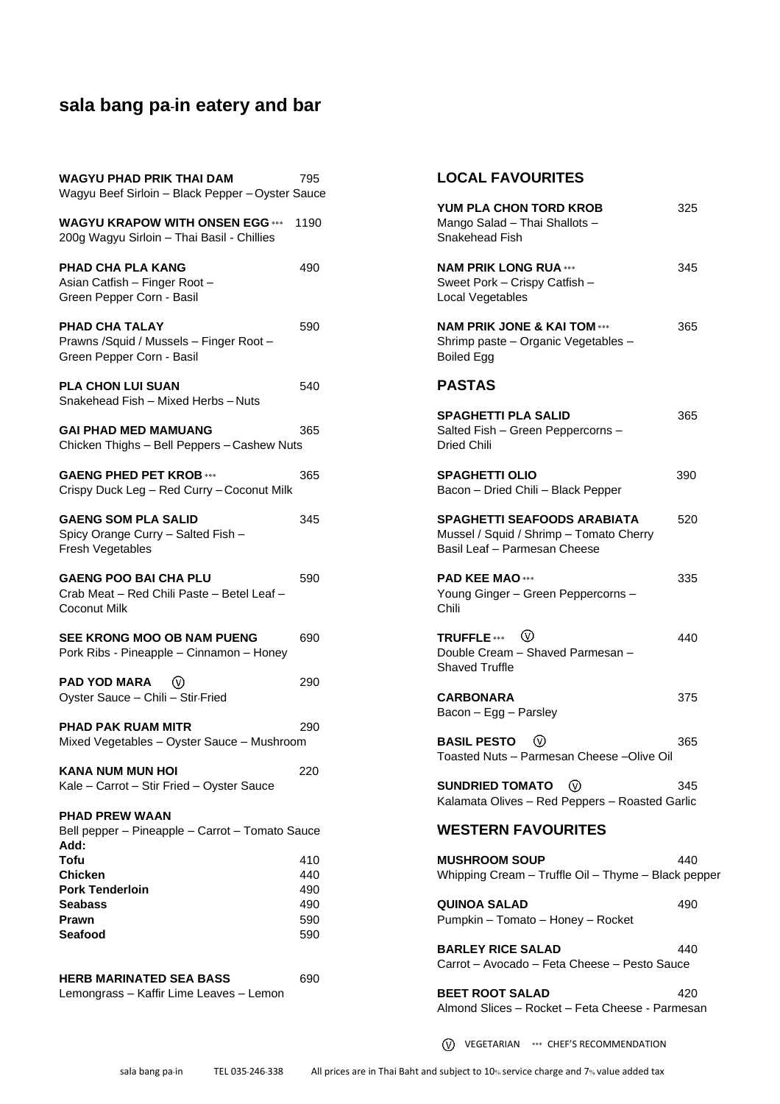| <b>WAGYU PHAD PRIK THAI DAM</b><br>Wagyu Beef Sirloin - Black Pepper - Oyster Sauce            | 795                                    |
|------------------------------------------------------------------------------------------------|----------------------------------------|
| <b>WAGYU KRAPOW WITH ONSEN EGG ***</b><br>200g Wagyu Sirloin - Thai Basil - Chillies           | 1190                                   |
| <b>PHAD CHA PLA KANG</b><br>Asian Catfish - Finger Root -<br>Green Pepper Corn - Basil         | 490                                    |
| <b>PHAD CHA TALAY</b><br>Prawns / Squid / Mussels - Finger Root -<br>Green Pepper Corn - Basil | 590                                    |
| <b>PLA CHON LUI SUAN</b><br>Snakehead Fish - Mixed Herbs - Nuts                                | 540                                    |
| <b>GAI PHAD MED MAMUANG</b><br>Chicken Thighs - Bell Peppers - Cashew Nuts                     | 365                                    |
| <b>GAENG PHED PET KROB ***</b><br>Crispy Duck Leg - Red Curry - Coconut Milk                   | 365                                    |
| <b>GAENG SOM PLA SALID</b><br>Spicy Orange Curry - Salted Fish -<br><b>Fresh Vegetables</b>    | 345                                    |
| <b>GAENG POO BAI CHA PLU</b><br>Crab Meat - Red Chili Paste - Betel Leaf -<br>Coconut Milk     | 590                                    |
| SEE KRONG MOO OB NAM PUENG<br>Pork Ribs - Pineapple - Cinnamon - Honey                         | 690                                    |
| <b>PAD YOD MARA</b><br>Oyster Sauce - Chili - Stir-Fried                                       | 290                                    |
| PHAD PAK RUAM MITR<br>Mixed Vegetables - Oyster Sauce - Mushroom                               | 290                                    |
| <b>KANA NUM MUN HOI</b><br>Kale - Carrot - Stir Fried - Oyster Sauce                           | 220                                    |
| <b>PHAD PREW WAAN</b><br>Bell pepper - Pineapple - Carrot - Tomato Sauce<br>Add:               |                                        |
| Tofu<br>Chicken<br><b>Pork Tenderloin</b><br><b>Seabass</b><br><b>Prawn</b><br>Seafood         | 410<br>440<br>490<br>490<br>590<br>590 |
| <b>HERB MARINATED SEA BASS</b><br>Lemongrass - Kaffir Lime Leaves - Lemon                      | 690                                    |

### **LOCAL FAVOURITES**

| YUM PLA CHON TORD KROB<br>Mango Salad - Thai Shallots -<br>Snakehead Fish                                            | 325 |
|----------------------------------------------------------------------------------------------------------------------|-----|
| <b>NAM PRIK LONG RUA ***</b><br>Sweet Pork - Crispy Catfish -<br>Local Vegetables                                    | 345 |
| <b>NAM PRIK JONE &amp; KAI TOM ***</b><br>Shrimp paste - Organic Vegetables -<br><b>Boiled Egg</b>                   | 365 |
| PASTAS                                                                                                               |     |
| SPAGHETTI PLA SALID<br>Salted Fish - Green Peppercorns -<br>Dried Chili                                              | 365 |
| <b>SPAGHETTI OLIO</b><br>Bacon - Dried Chili - Black Pepper                                                          | 390 |
| SPAGHETTI SEAFOODS ARABIATA<br>Mussel / Squid / Shrimp - Tomato Cherry<br>Basil Leaf - Parmesan Cheese               | 520 |
| <b>PAD KEE MAO***</b><br>Young Ginger - Green Peppercorns -<br>Chili                                                 | 335 |
| TRUFFLE $\begin{matrix} \bullet\ \bullet\ \end{matrix}$<br>Double Cream - Shaved Parmesan -<br><b>Shaved Truffle</b> | 440 |
| <b>CARBONARA</b><br>Bacon - Egg - Parsley                                                                            | 375 |
| <b>BASIL PESTO</b><br>$\circ$<br>Toasted Nuts - Parmesan Cheese -Olive Oil                                           | 365 |
| SUNDRIED TOMATO $\quad \textcircled{\scriptsize{0}}$<br>Kalamata Olives - Red Peppers - Roasted Garlic               | 345 |
| <b>WESTERN FAVOURITES</b>                                                                                            |     |
| <b>MUSHROOM SOUP</b><br>Whipping Cream - Truffle Oil - Thyme - Black pepper                                          | 440 |
| <b>QUINOA SALAD</b><br>Pumpkin - Tomato - Honey - Rocket                                                             | 490 |
| <b>BARLEY RICE SALAD</b><br>Carrot - Avocado - Feta Cheese - Pesto Sauce                                             | 440 |
| <b>BEET ROOT SALAD</b><br>Almond Slices - Rocket - Feta Cheese - Parmesan                                            | 420 |

VEGETARIAN \*\*\* CHEF'S RECOMMENDATION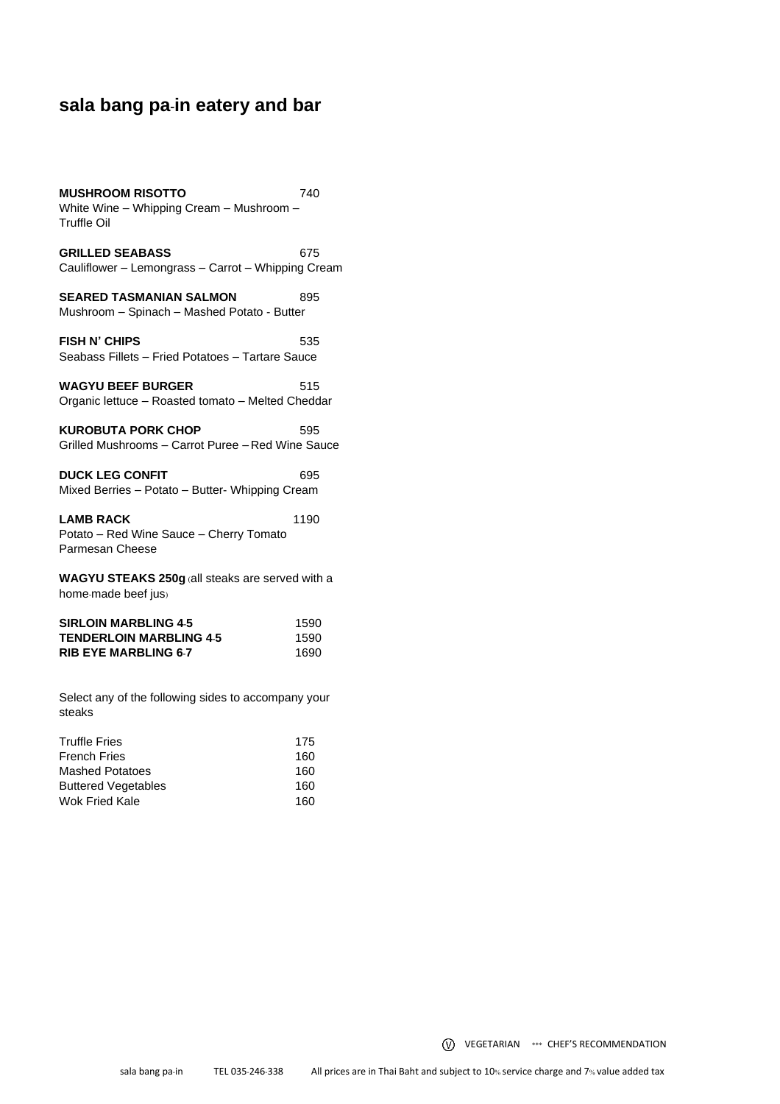**MUSHROOM RISOTTO** 740 White Wine – Whipping Cream – Mushroom – Truffle Oil

GRILLED SEABASS 675 Cauliflower – Lemongrass – Carrot – Whipping Cream

**SEARED TASMANIAN SALMON 895** Mushroom – Spinach – Mashed Potato - Butter

**FISH N' CHIPS** 535 Seabass Fillets – Fried Potatoes – Tartare Sauce

**WAGYU BEEF BURGER** 515 Organic lettuce – Roasted tomato – Melted Cheddar

**KUROBUTA PORK CHOP** 595 Grilled Mushrooms – Carrot Puree – Red Wine Sauce

**DUCK LEG CONFIT 695** Mixed Berries – Potato – Butter- Whipping Cream

**LAMB RACK** 1190 Potato – Red Wine Sauce – Cherry Tomato Parmesan Cheese

**WAGYU STEAKS 250g** (all steaks are served with a home-made beef jus)

| <b>SIRLOIN MARBLING 4-5</b>    | 1590 |
|--------------------------------|------|
| <b>TENDERLOIN MARBLING 4-5</b> | 1590 |
| <b>RIB EYE MARBLING 6-7</b>    | 1690 |

Select any of the following sides to accompany your steaks

| <b>Truffle Fries</b>       | 175 |
|----------------------------|-----|
| <b>French Fries</b>        | 160 |
| Mashed Potatoes            | 160 |
| <b>Buttered Vegetables</b> | 160 |
| <b>Wok Fried Kale</b>      | 160 |

VEGETARIAN \*\*\* CHEF'S RECOMMENDATION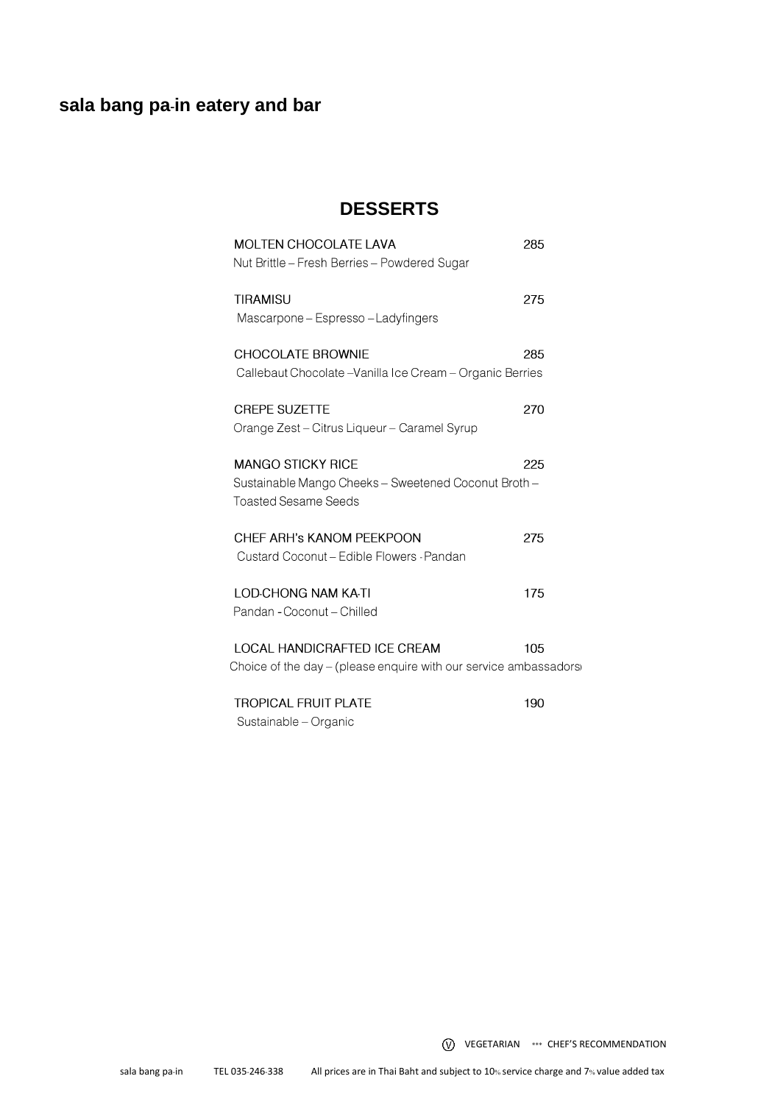## **DESSERTS**

| <b>MOLTEN CHOCOLATE LAVA</b><br>Nut Brittle - Fresh Berries - Powdered Sugar                                    | 285 |
|-----------------------------------------------------------------------------------------------------------------|-----|
| <b>TIRAMISU</b><br>Mascarpone – Espresso – Ladyfingers                                                          | 275 |
| <b>CHOCOLATE BROWNIE</b><br>Callebaut Chocolate – Vanilla Ice Cream – Organic Berries                           | 285 |
| <b>CREPE SUZETTE</b><br>Orange Zest - Citrus Liqueur - Caramel Syrup                                            | 270 |
| <b>MANGO STICKY RICE</b><br>Sustainable Mango Cheeks - Sweetened Coconut Broth -<br><b>Toasted Sesame Seeds</b> | 225 |
| CHEF ARH's KANOM PEEKPOON<br>Custard Coconut - Edible Flowers - Pandan                                          | 275 |
| <b>LOD-CHONG NAM KA-TI</b><br>Pandan - Coconut - Chilled                                                        | 175 |
| LOCAL HANDICRAFTED ICE CREAM<br>Choice of the day – (please enquire with our service ambassadors)               | 105 |
| <b>TROPICAL FRUIT PLATE</b>                                                                                     | 190 |

Sustainable - Organic